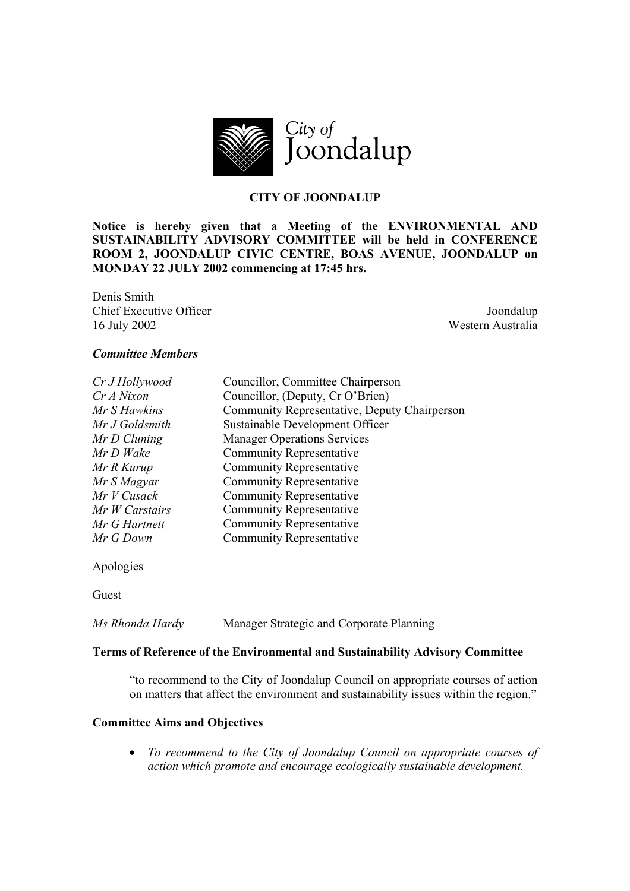

## **CITY OF JOONDALUP**

**Notice is hereby given that a Meeting of the ENVIRONMENTAL AND SUSTAINABILITY ADVISORY COMMITTEE will be held in CONFERENCE ROOM 2, JOONDALUP CIVIC CENTRE, BOAS AVENUE, JOONDALUP on MONDAY 22 JULY 2002 commencing at 17:45 hrs.** 

Denis Smith **Chief Executive Officer** Joondalup 16 July 2002 Western Australia

#### *Committee Members*

| Cr J Hollywood | Councillor, Committee Chairperson            |  |
|----------------|----------------------------------------------|--|
| Cr A Nixon     | Councillor, (Deputy, Cr O'Brien)             |  |
| Mr S Hawkins   | Community Representative, Deputy Chairperson |  |
| Mr J Goldsmith | Sustainable Development Officer              |  |
| Mr D Cluning   | <b>Manager Operations Services</b>           |  |
| Mr D Wake      | <b>Community Representative</b>              |  |
| Mr R Kurup     | <b>Community Representative</b>              |  |
| Mr S Magyar    | <b>Community Representative</b>              |  |
| Mr V Cusack    | <b>Community Representative</b>              |  |
| Mr W Carstairs | <b>Community Representative</b>              |  |
| Mr G Hartnett  | <b>Community Representative</b>              |  |
| Mr G Down      | <b>Community Representative</b>              |  |
|                |                                              |  |

Apologies

Guest

*Ms Rhonda Hardy* Manager Strategic and Corporate Planning

#### **Terms of Reference of the Environmental and Sustainability Advisory Committee**

"to recommend to the City of Joondalup Council on appropriate courses of action on matters that affect the environment and sustainability issues within the region."

#### **Committee Aims and Objectives**

• *To recommend to the City of Joondalup Council on appropriate courses of action which promote and encourage ecologically sustainable development.*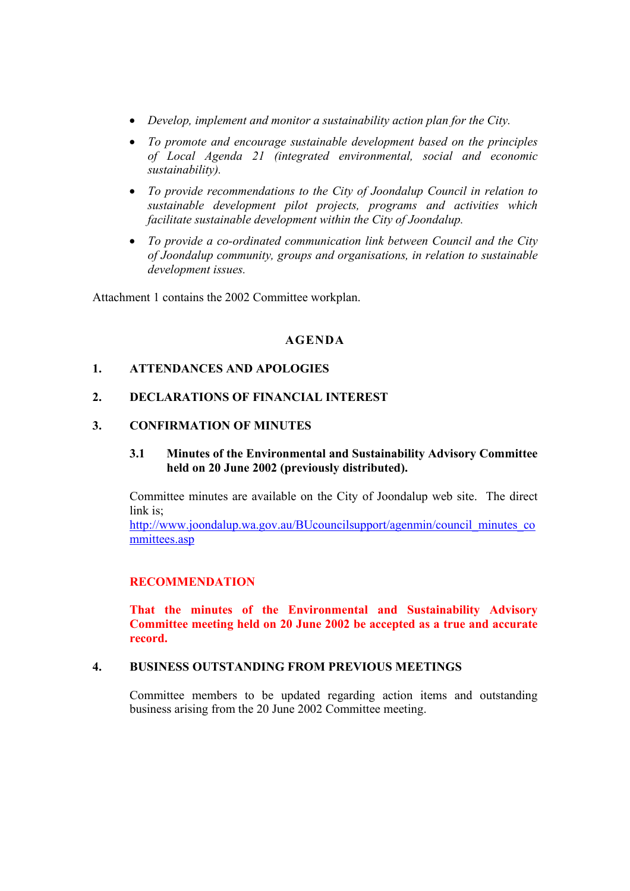- *Develop, implement and monitor a sustainability action plan for the City.*
- *To promote and encourage sustainable development based on the principles of Local Agenda 21 (integrated environmental, social and economic sustainability).*
- *To provide recommendations to the City of Joondalup Council in relation to sustainable development pilot projects, programs and activities which facilitate sustainable development within the City of Joondalup.*
- *To provide a co-ordinated communication link between Council and the City of Joondalup community, groups and organisations, in relation to sustainable development issues.*

Attachment 1 contains the 2002 Committee workplan.

### **AGENDA**

## **1. ATTENDANCES AND APOLOGIES**

### **2. DECLARATIONS OF FINANCIAL INTEREST**

#### **3. CONFIRMATION OF MINUTES**

### **3.1 Minutes of the Environmental and Sustainability Advisory Committee held on 20 June 2002 (previously distributed).**

Committee minutes are available on the City of Joondalup web site. The direct link is;

http://www.joondalup.wa.gov.au/BUcouncilsupport/agenmin/council\_minutes\_co mmittees.asp

#### **RECOMMENDATION**

**That the minutes of the Environmental and Sustainability Advisory Committee meeting held on 20 June 2002 be accepted as a true and accurate record.** 

# **4. BUSINESS OUTSTANDING FROM PREVIOUS MEETINGS**

Committee members to be updated regarding action items and outstanding business arising from the 20 June 2002 Committee meeting.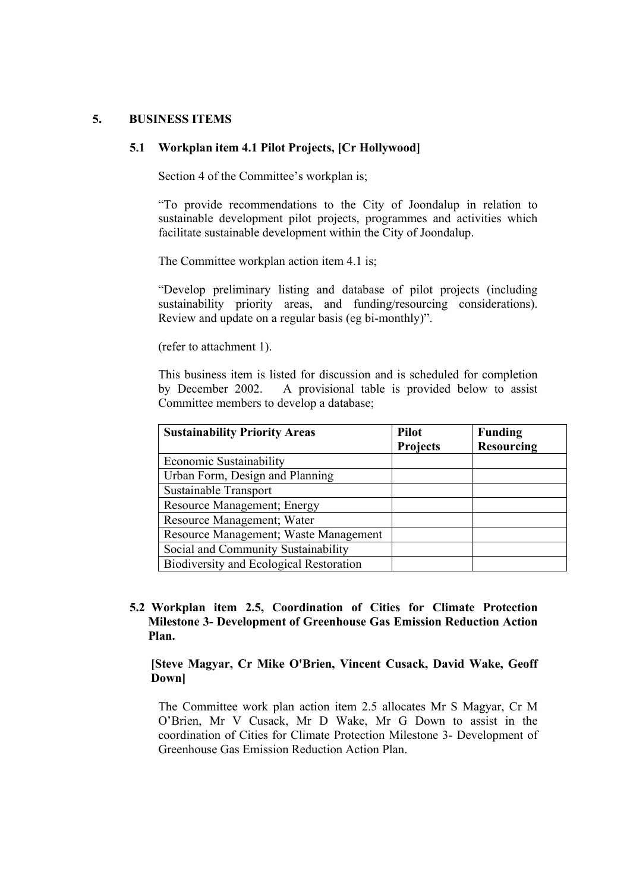#### **5. BUSINESS ITEMS**

#### **5.1 Workplan item 4.1 Pilot Projects, [Cr Hollywood]**

Section 4 of the Committee's workplan is;

"To provide recommendations to the City of Joondalup in relation to sustainable development pilot projects, programmes and activities which facilitate sustainable development within the City of Joondalup.

The Committee workplan action item 4.1 is;

"Develop preliminary listing and database of pilot projects (including sustainability priority areas, and funding/resourcing considerations). Review and update on a regular basis (eg bi-monthly)".

(refer to attachment 1).

This business item is listed for discussion and is scheduled for completion by December 2002. A provisional table is provided below to assist Committee members to develop a database;

| <b>Sustainability Priority Areas</b>    | <b>Pilot</b>    | <b>Funding</b>    |
|-----------------------------------------|-----------------|-------------------|
|                                         | <b>Projects</b> | <b>Resourcing</b> |
| Economic Sustainability                 |                 |                   |
| Urban Form, Design and Planning         |                 |                   |
| Sustainable Transport                   |                 |                   |
| Resource Management; Energy             |                 |                   |
| Resource Management; Water              |                 |                   |
| Resource Management; Waste Management   |                 |                   |
| Social and Community Sustainability     |                 |                   |
| Biodiversity and Ecological Restoration |                 |                   |

## **5.2 Workplan item 2.5, Coordination of Cities for Climate Protection Milestone 3- Development of Greenhouse Gas Emission Reduction Action Plan.**

**[Steve Magyar, Cr Mike O'Brien, Vincent Cusack, David Wake, Geoff Down]** 

The Committee work plan action item 2.5 allocates Mr S Magyar, Cr M O'Brien, Mr V Cusack, Mr D Wake, Mr G Down to assist in the coordination of Cities for Climate Protection Milestone 3- Development of Greenhouse Gas Emission Reduction Action Plan.